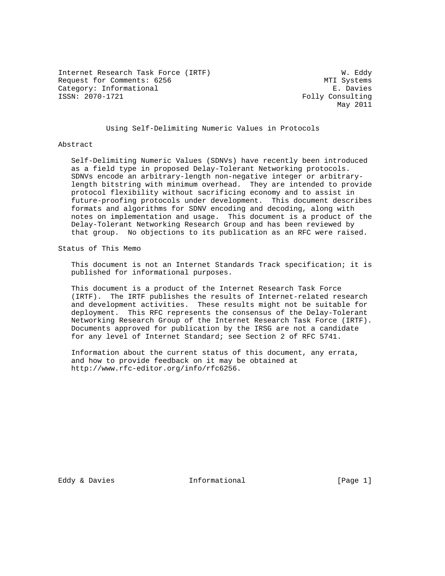Internet Research Task Force (IRTF) W. Eddy Request for Comments: 6256 MTI Systems Category: Informational E. Davies<br>
ISSN: 2070-1721 Folly Consulting

Folly Consulting May 2011

Using Self-Delimiting Numeric Values in Protocols

#### Abstract

 Self-Delimiting Numeric Values (SDNVs) have recently been introduced as a field type in proposed Delay-Tolerant Networking protocols. SDNVs encode an arbitrary-length non-negative integer or arbitrary length bitstring with minimum overhead. They are intended to provide protocol flexibility without sacrificing economy and to assist in future-proofing protocols under development. This document describes formats and algorithms for SDNV encoding and decoding, along with notes on implementation and usage. This document is a product of the Delay-Tolerant Networking Research Group and has been reviewed by that group. No objections to its publication as an RFC were raised.

Status of This Memo

 This document is not an Internet Standards Track specification; it is published for informational purposes.

 This document is a product of the Internet Research Task Force (IRTF). The IRTF publishes the results of Internet-related research and development activities. These results might not be suitable for deployment. This RFC represents the consensus of the Delay-Tolerant Networking Research Group of the Internet Research Task Force (IRTF). Documents approved for publication by the IRSG are not a candidate for any level of Internet Standard; see Section 2 of RFC 5741.

 Information about the current status of this document, any errata, and how to provide feedback on it may be obtained at http://www.rfc-editor.org/info/rfc6256.

Eddy & Davies **Informational** [Page 1]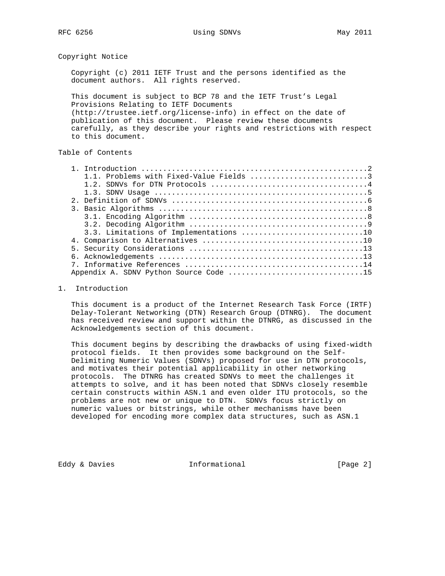Copyright Notice

 Copyright (c) 2011 IETF Trust and the persons identified as the document authors. All rights reserved.

 This document is subject to BCP 78 and the IETF Trust's Legal Provisions Relating to IETF Documents (http://trustee.ietf.org/license-info) in effect on the date of publication of this document. Please review these documents carefully, as they describe your rights and restrictions with respect to this document.

# Table of Contents

| 3.3. Limitations of Implementations 10 |
|----------------------------------------|
|                                        |
|                                        |
|                                        |
|                                        |
|                                        |

#### 1. Introduction

 This document is a product of the Internet Research Task Force (IRTF) Delay-Tolerant Networking (DTN) Research Group (DTNRG). The document has received review and support within the DTNRG, as discussed in the Acknowledgements section of this document.

 This document begins by describing the drawbacks of using fixed-width protocol fields. It then provides some background on the Self- Delimiting Numeric Values (SDNVs) proposed for use in DTN protocols, and motivates their potential applicability in other networking protocols. The DTNRG has created SDNVs to meet the challenges it attempts to solve, and it has been noted that SDNVs closely resemble certain constructs within ASN.1 and even older ITU protocols, so the problems are not new or unique to DTN. SDNVs focus strictly on numeric values or bitstrings, while other mechanisms have been developed for encoding more complex data structures, such as ASN.1

Eddy & Davies **Informational** [Page 2]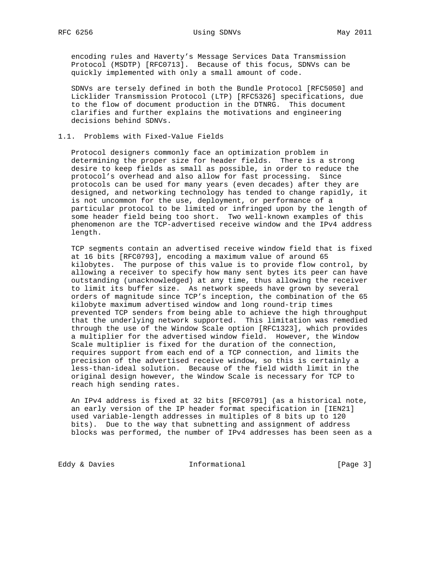encoding rules and Haverty's Message Services Data Transmission Protocol (MSDTP) [RFC0713]. Because of this focus, SDNVs can be quickly implemented with only a small amount of code.

 SDNVs are tersely defined in both the Bundle Protocol [RFC5050] and Licklider Transmission Protocol (LTP) [RFC5326] specifications, due to the flow of document production in the DTNRG. This document clarifies and further explains the motivations and engineering decisions behind SDNVs.

### 1.1. Problems with Fixed-Value Fields

 Protocol designers commonly face an optimization problem in determining the proper size for header fields. There is a strong desire to keep fields as small as possible, in order to reduce the protocol's overhead and also allow for fast processing. Since protocols can be used for many years (even decades) after they are designed, and networking technology has tended to change rapidly, it is not uncommon for the use, deployment, or performance of a particular protocol to be limited or infringed upon by the length of some header field being too short. Two well-known examples of this phenomenon are the TCP-advertised receive window and the IPv4 address length.

 TCP segments contain an advertised receive window field that is fixed at 16 bits [RFC0793], encoding a maximum value of around 65 kilobytes. The purpose of this value is to provide flow control, by allowing a receiver to specify how many sent bytes its peer can have outstanding (unacknowledged) at any time, thus allowing the receiver to limit its buffer size. As network speeds have grown by several orders of magnitude since TCP's inception, the combination of the 65 kilobyte maximum advertised window and long round-trip times prevented TCP senders from being able to achieve the high throughput that the underlying network supported. This limitation was remedied through the use of the Window Scale option [RFC1323], which provides a multiplier for the advertised window field. However, the Window Scale multiplier is fixed for the duration of the connection, requires support from each end of a TCP connection, and limits the precision of the advertised receive window, so this is certainly a less-than-ideal solution. Because of the field width limit in the original design however, the Window Scale is necessary for TCP to reach high sending rates.

 An IPv4 address is fixed at 32 bits [RFC0791] (as a historical note, an early version of the IP header format specification in [IEN21] used variable-length addresses in multiples of 8 bits up to 120 bits). Due to the way that subnetting and assignment of address blocks was performed, the number of IPv4 addresses has been seen as a

Eddy & Davies **Informational** [Page 3]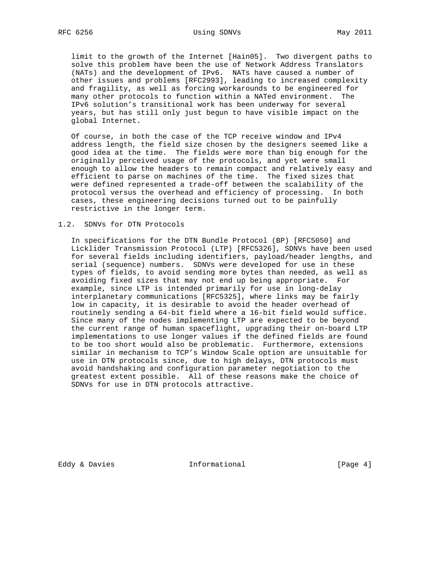limit to the growth of the Internet [Hain05]. Two divergent paths to solve this problem have been the use of Network Address Translators (NATs) and the development of IPv6. NATs have caused a number of other issues and problems [RFC2993], leading to increased complexity and fragility, as well as forcing workarounds to be engineered for many other protocols to function within a NATed environment. The IPv6 solution's transitional work has been underway for several years, but has still only just begun to have visible impact on the global Internet.

 Of course, in both the case of the TCP receive window and IPv4 address length, the field size chosen by the designers seemed like a good idea at the time. The fields were more than big enough for the originally perceived usage of the protocols, and yet were small enough to allow the headers to remain compact and relatively easy and efficient to parse on machines of the time. The fixed sizes that were defined represented a trade-off between the scalability of the protocol versus the overhead and efficiency of processing. In both cases, these engineering decisions turned out to be painfully restrictive in the longer term.

#### 1.2. SDNVs for DTN Protocols

 In specifications for the DTN Bundle Protocol (BP) [RFC5050] and Licklider Transmission Protocol (LTP) [RFC5326], SDNVs have been used for several fields including identifiers, payload/header lengths, and serial (sequence) numbers. SDNVs were developed for use in these types of fields, to avoid sending more bytes than needed, as well as avoiding fixed sizes that may not end up being appropriate. For example, since LTP is intended primarily for use in long-delay interplanetary communications [RFC5325], where links may be fairly low in capacity, it is desirable to avoid the header overhead of routinely sending a 64-bit field where a 16-bit field would suffice. Since many of the nodes implementing LTP are expected to be beyond the current range of human spaceflight, upgrading their on-board LTP implementations to use longer values if the defined fields are found to be too short would also be problematic. Furthermore, extensions similar in mechanism to TCP's Window Scale option are unsuitable for use in DTN protocols since, due to high delays, DTN protocols must avoid handshaking and configuration parameter negotiation to the greatest extent possible. All of these reasons make the choice of SDNVs for use in DTN protocols attractive.

Eddy & Davies **Informational** [Page 4]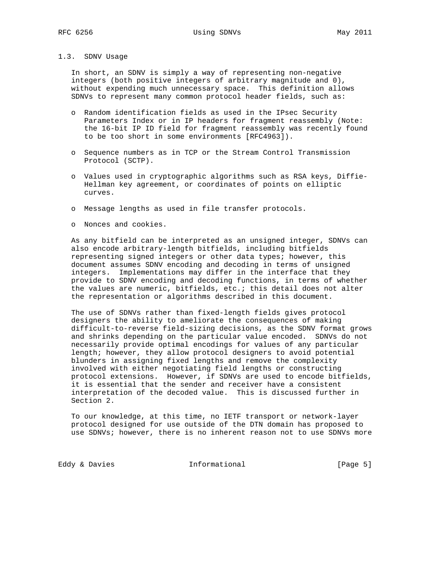#### 1.3. SDNV Usage

 In short, an SDNV is simply a way of representing non-negative integers (both positive integers of arbitrary magnitude and 0), without expending much unnecessary space. This definition allows SDNVs to represent many common protocol header fields, such as:

- o Random identification fields as used in the IPsec Security Parameters Index or in IP headers for fragment reassembly (Note: the 16-bit IP ID field for fragment reassembly was recently found to be too short in some environments [RFC4963]).
- o Sequence numbers as in TCP or the Stream Control Transmission Protocol (SCTP).
- o Values used in cryptographic algorithms such as RSA keys, Diffie- Hellman key agreement, or coordinates of points on elliptic curves.
- o Message lengths as used in file transfer protocols.
- o Nonces and cookies.

 As any bitfield can be interpreted as an unsigned integer, SDNVs can also encode arbitrary-length bitfields, including bitfields representing signed integers or other data types; however, this document assumes SDNV encoding and decoding in terms of unsigned integers. Implementations may differ in the interface that they provide to SDNV encoding and decoding functions, in terms of whether the values are numeric, bitfields, etc.; this detail does not alter the representation or algorithms described in this document.

 The use of SDNVs rather than fixed-length fields gives protocol designers the ability to ameliorate the consequences of making difficult-to-reverse field-sizing decisions, as the SDNV format grows and shrinks depending on the particular value encoded. SDNVs do not necessarily provide optimal encodings for values of any particular length; however, they allow protocol designers to avoid potential blunders in assigning fixed lengths and remove the complexity involved with either negotiating field lengths or constructing protocol extensions. However, if SDNVs are used to encode bitfields, it is essential that the sender and receiver have a consistent interpretation of the decoded value. This is discussed further in Section 2.

 To our knowledge, at this time, no IETF transport or network-layer protocol designed for use outside of the DTN domain has proposed to use SDNVs; however, there is no inherent reason not to use SDNVs more

Eddy & Davies **Informational** [Page 5]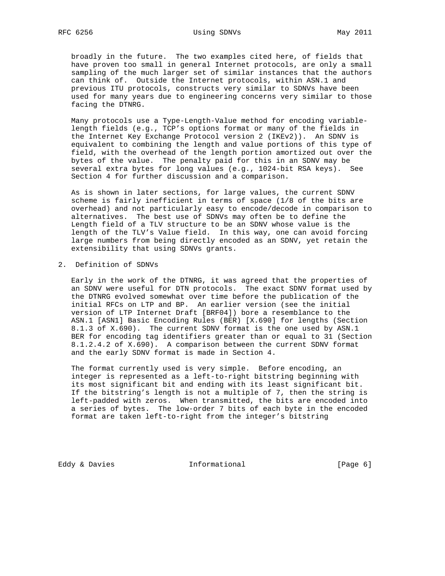broadly in the future. The two examples cited here, of fields that have proven too small in general Internet protocols, are only a small sampling of the much larger set of similar instances that the authors can think of. Outside the Internet protocols, within ASN.1 and previous ITU protocols, constructs very similar to SDNVs have been used for many years due to engineering concerns very similar to those facing the DTNRG.

 Many protocols use a Type-Length-Value method for encoding variable length fields (e.g., TCP's options format or many of the fields in the Internet Key Exchange Protocol version 2 (IKEv2)). An SDNV is equivalent to combining the length and value portions of this type of field, with the overhead of the length portion amortized out over the bytes of the value. The penalty paid for this in an SDNV may be several extra bytes for long values (e.g., 1024-bit RSA keys). See Section 4 for further discussion and a comparison.

 As is shown in later sections, for large values, the current SDNV scheme is fairly inefficient in terms of space (1/8 of the bits are overhead) and not particularly easy to encode/decode in comparison to alternatives. The best use of SDNVs may often be to define the Length field of a TLV structure to be an SDNV whose value is the length of the TLV's Value field. In this way, one can avoid forcing large numbers from being directly encoded as an SDNV, yet retain the extensibility that using SDNVs grants.

#### 2. Definition of SDNVs

 Early in the work of the DTNRG, it was agreed that the properties of an SDNV were useful for DTN protocols. The exact SDNV format used by the DTNRG evolved somewhat over time before the publication of the initial RFCs on LTP and BP. An earlier version (see the initial version of LTP Internet Draft [BRF04]) bore a resemblance to the ASN.1 [ASN1] Basic Encoding Rules (BER) [X.690] for lengths (Section 8.1.3 of X.690). The current SDNV format is the one used by ASN.1 BER for encoding tag identifiers greater than or equal to 31 (Section 8.1.2.4.2 of X.690). A comparison between the current SDNV format and the early SDNV format is made in Section 4.

 The format currently used is very simple. Before encoding, an integer is represented as a left-to-right bitstring beginning with its most significant bit and ending with its least significant bit. If the bitstring's length is not a multiple of 7, then the string is left-padded with zeros. When transmitted, the bits are encoded into a series of bytes. The low-order 7 bits of each byte in the encoded format are taken left-to-right from the integer's bitstring

Eddy & Davies **Informational** [Page 6]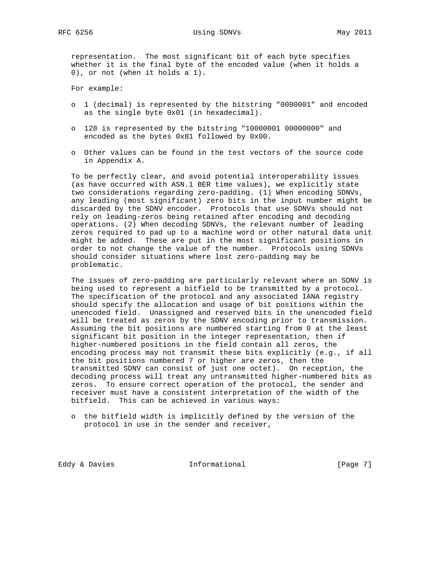representation. The most significant bit of each byte specifies whether it is the final byte of the encoded value (when it holds a 0), or not (when it holds a 1).

For example:

- o 1 (decimal) is represented by the bitstring "0000001" and encoded as the single byte 0x01 (in hexadecimal).
- o 128 is represented by the bitstring "10000001 00000000" and encoded as the bytes 0x81 followed by 0x00.
- o Other values can be found in the test vectors of the source code in Appendix A.

 To be perfectly clear, and avoid potential interoperability issues (as have occurred with ASN.1 BER time values), we explicitly state two considerations regarding zero-padding. (1) When encoding SDNVs, any leading (most significant) zero bits in the input number might be discarded by the SDNV encoder. Protocols that use SDNVs should not rely on leading-zeros being retained after encoding and decoding operations. (2) When decoding SDNVs, the relevant number of leading zeros required to pad up to a machine word or other natural data unit might be added. These are put in the most significant positions in order to not change the value of the number. Protocols using SDNVs should consider situations where lost zero-padding may be problematic.

 The issues of zero-padding are particularly relevant where an SDNV is being used to represent a bitfield to be transmitted by a protocol. The specification of the protocol and any associated IANA registry should specify the allocation and usage of bit positions within the unencoded field. Unassigned and reserved bits in the unencoded field will be treated as zeros by the SDNV encoding prior to transmission. Assuming the bit positions are numbered starting from 0 at the least significant bit position in the integer representation, then if higher-numbered positions in the field contain all zeros, the encoding process may not transmit these bits explicitly (e.g., if all the bit positions numbered 7 or higher are zeros, then the transmitted SDNV can consist of just one octet). On reception, the decoding process will treat any untransmitted higher-numbered bits as zeros. To ensure correct operation of the protocol, the sender and receiver must have a consistent interpretation of the width of the bitfield. This can be achieved in various ways:

 o the bitfield width is implicitly defined by the version of the protocol in use in the sender and receiver,

Eddy & Davies **Informational** [Page 7]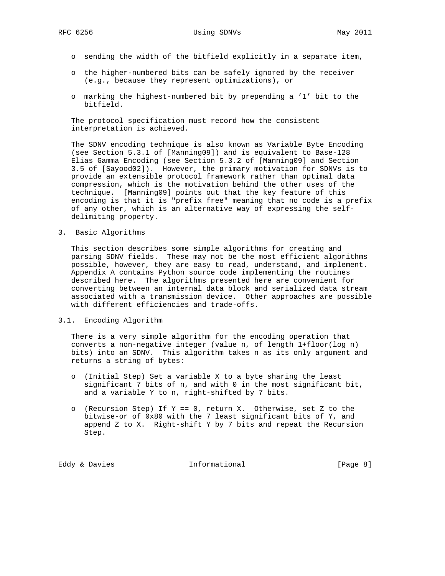- o sending the width of the bitfield explicitly in a separate item,
- o the higher-numbered bits can be safely ignored by the receiver (e.g., because they represent optimizations), or
- o marking the highest-numbered bit by prepending a '1' bit to the bitfield.

 The protocol specification must record how the consistent interpretation is achieved.

 The SDNV encoding technique is also known as Variable Byte Encoding (see Section 5.3.1 of [Manning09]) and is equivalent to Base-128 Elias Gamma Encoding (see Section 5.3.2 of [Manning09] and Section 3.5 of [Sayood02]). However, the primary motivation for SDNVs is to provide an extensible protocol framework rather than optimal data compression, which is the motivation behind the other uses of the technique. [Manning09] points out that the key feature of this encoding is that it is "prefix free" meaning that no code is a prefix of any other, which is an alternative way of expressing the self delimiting property.

3. Basic Algorithms

 This section describes some simple algorithms for creating and parsing SDNV fields. These may not be the most efficient algorithms possible, however, they are easy to read, understand, and implement. Appendix A contains Python source code implementing the routines described here. The algorithms presented here are convenient for converting between an internal data block and serialized data stream associated with a transmission device. Other approaches are possible with different efficiencies and trade-offs.

#### 3.1. Encoding Algorithm

 There is a very simple algorithm for the encoding operation that converts a non-negative integer (value n, of length 1+floor(log n) bits) into an SDNV. This algorithm takes n as its only argument and returns a string of bytes:

- o (Initial Step) Set a variable X to a byte sharing the least significant 7 bits of n, and with 0 in the most significant bit, and a variable Y to n, right-shifted by 7 bits.
- o (Recursion Step) If  $Y = 0$ , return X. Otherwise, set Z to the bitwise-or of 0x80 with the 7 least significant bits of Y, and append Z to X. Right-shift Y by 7 bits and repeat the Recursion Step.

Eddy & Davies **Informational** [Page 8]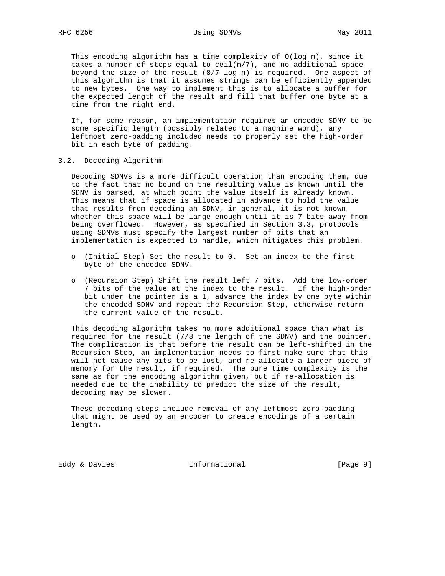This encoding algorithm has a time complexity of O(log n), since it takes a number of steps equal to  $ceil(n/7)$ , and no additional space beyond the size of the result (8/7 log n) is required. One aspect of this algorithm is that it assumes strings can be efficiently appended to new bytes. One way to implement this is to allocate a buffer for the expected length of the result and fill that buffer one byte at a time from the right end.

 If, for some reason, an implementation requires an encoded SDNV to be some specific length (possibly related to a machine word), any leftmost zero-padding included needs to properly set the high-order bit in each byte of padding.

3.2. Decoding Algorithm

 Decoding SDNVs is a more difficult operation than encoding them, due to the fact that no bound on the resulting value is known until the SDNV is parsed, at which point the value itself is already known. This means that if space is allocated in advance to hold the value that results from decoding an SDNV, in general, it is not known whether this space will be large enough until it is 7 bits away from being overflowed. However, as specified in Section 3.3, protocols using SDNVs must specify the largest number of bits that an implementation is expected to handle, which mitigates this problem.

- o (Initial Step) Set the result to 0. Set an index to the first byte of the encoded SDNV.
- o (Recursion Step) Shift the result left 7 bits. Add the low-order 7 bits of the value at the index to the result. If the high-order bit under the pointer is a 1, advance the index by one byte within the encoded SDNV and repeat the Recursion Step, otherwise return the current value of the result.

 This decoding algorithm takes no more additional space than what is required for the result (7/8 the length of the SDNV) and the pointer. The complication is that before the result can be left-shifted in the Recursion Step, an implementation needs to first make sure that this will not cause any bits to be lost, and re-allocate a larger piece of memory for the result, if required. The pure time complexity is the same as for the encoding algorithm given, but if re-allocation is needed due to the inability to predict the size of the result, decoding may be slower.

 These decoding steps include removal of any leftmost zero-padding that might be used by an encoder to create encodings of a certain length.

Eddy & Davies **Informational** [Page 9]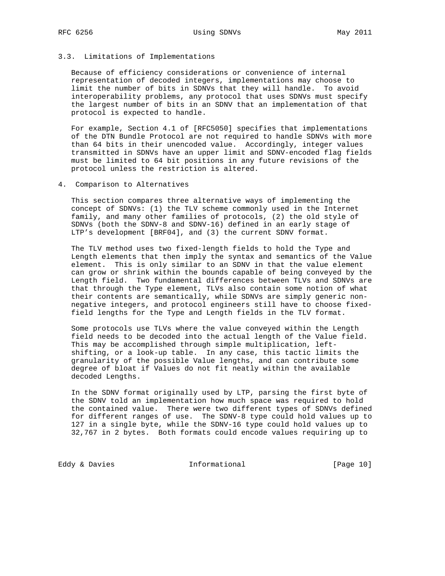## 3.3. Limitations of Implementations

 Because of efficiency considerations or convenience of internal representation of decoded integers, implementations may choose to limit the number of bits in SDNVs that they will handle. To avoid interoperability problems, any protocol that uses SDNVs must specify the largest number of bits in an SDNV that an implementation of that protocol is expected to handle.

 For example, Section 4.1 of [RFC5050] specifies that implementations of the DTN Bundle Protocol are not required to handle SDNVs with more than 64 bits in their unencoded value. Accordingly, integer values transmitted in SDNVs have an upper limit and SDNV-encoded flag fields must be limited to 64 bit positions in any future revisions of the protocol unless the restriction is altered.

4. Comparison to Alternatives

 This section compares three alternative ways of implementing the concept of SDNVs: (1) the TLV scheme commonly used in the Internet family, and many other families of protocols, (2) the old style of SDNVs (both the SDNV-8 and SDNV-16) defined in an early stage of LTP's development [BRF04], and (3) the current SDNV format.

 The TLV method uses two fixed-length fields to hold the Type and Length elements that then imply the syntax and semantics of the Value element. This is only similar to an SDNV in that the value element can grow or shrink within the bounds capable of being conveyed by the Length field. Two fundamental differences between TLVs and SDNVs are that through the Type element, TLVs also contain some notion of what their contents are semantically, while SDNVs are simply generic non negative integers, and protocol engineers still have to choose fixed field lengths for the Type and Length fields in the TLV format.

 Some protocols use TLVs where the value conveyed within the Length field needs to be decoded into the actual length of the Value field. This may be accomplished through simple multiplication, left shifting, or a look-up table. In any case, this tactic limits the granularity of the possible Value lengths, and can contribute some degree of bloat if Values do not fit neatly within the available decoded Lengths.

 In the SDNV format originally used by LTP, parsing the first byte of the SDNV told an implementation how much space was required to hold the contained value. There were two different types of SDNVs defined for different ranges of use. The SDNV-8 type could hold values up to 127 in a single byte, while the SDNV-16 type could hold values up to 32,767 in 2 bytes. Both formats could encode values requiring up to

Eddy & Davies **Informational** [Page 10]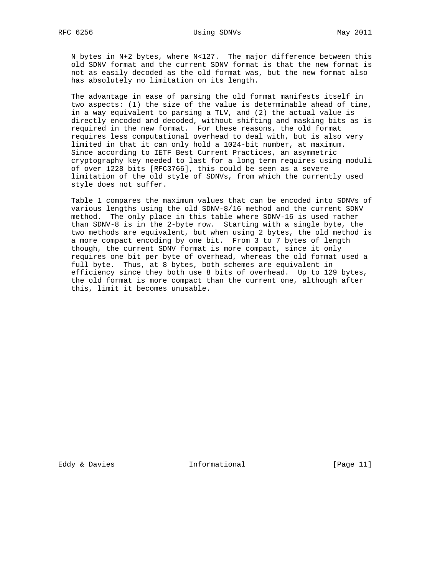N bytes in N+2 bytes, where N<127. The major difference between this old SDNV format and the current SDNV format is that the new format is not as easily decoded as the old format was, but the new format also has absolutely no limitation on its length.

 The advantage in ease of parsing the old format manifests itself in two aspects: (1) the size of the value is determinable ahead of time, in a way equivalent to parsing a TLV, and (2) the actual value is directly encoded and decoded, without shifting and masking bits as is required in the new format. For these reasons, the old format requires less computational overhead to deal with, but is also very limited in that it can only hold a 1024-bit number, at maximum. Since according to IETF Best Current Practices, an asymmetric cryptography key needed to last for a long term requires using moduli of over 1228 bits [RFC3766], this could be seen as a severe limitation of the old style of SDNVs, from which the currently used style does not suffer.

 Table 1 compares the maximum values that can be encoded into SDNVs of various lengths using the old SDNV-8/16 method and the current SDNV method. The only place in this table where SDNV-16 is used rather than SDNV-8 is in the 2-byte row. Starting with a single byte, the two methods are equivalent, but when using 2 bytes, the old method is a more compact encoding by one bit. From 3 to 7 bytes of length though, the current SDNV format is more compact, since it only requires one bit per byte of overhead, whereas the old format used a full byte. Thus, at 8 bytes, both schemes are equivalent in efficiency since they both use 8 bits of overhead. Up to 129 bytes, the old format is more compact than the current one, although after this, limit it becomes unusable.

Eddy & Davies **Informational** [Page 11]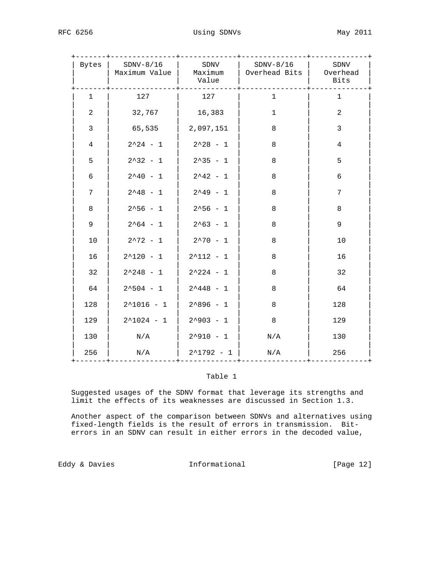| Bytes          | $SDNV-8/16$<br>Maximum Value   Maximum | SDNV<br>Value       | $SDNV-8/16$<br>  Overhead Bits   Overhead | SDNV<br><b>Bits</b> |
|----------------|----------------------------------------|---------------------|-------------------------------------------|---------------------|
| $\mathbf{1}$   | 127                                    | 127                 | $\mathbf{1}$                              | $\mathbf{1}$        |
| 2              | 32,767                                 | 16,383              | $\mathbf{1}$                              | $\overline{a}$      |
| $\overline{3}$ | 65,535                                 | 2,097,151           | $\,8\,$                                   | $\mathbf{3}$        |
| $\overline{4}$ | $2^224 - 1$                            | $2^228 - 1$         | 8                                         | $\overline{4}$      |
| 5              | $2^332 - 1$                            | $2^335 - 1$         | 8                                         | 5                   |
| 6              | $2^40 - 1$                             | $2^42 - 1$          | 8                                         | 6                   |
| 7              | $2^{\wedge}48 - 1$                     | $2^49 - 1$          | $\,8\,$                                   | 7                   |
| 8              | $2^556 - 1$                            | $2^556 - 1$         | $\,8\,$                                   | 8                   |
| 9              | $2^64 - 1$                             | $2^63 - 1$          | 8                                         | 9                   |
| 10             | $2^{\lambda}72 - 1$                    | $2^{\lambda}70 - 1$ | 8                                         | 10                  |
| 16             | $2^120 - 1$                            | $2^112 - 1$         | 8                                         | 16                  |
| 32             | $2^{\wedge}248 - 1$                    | $2^224 - 1$         | $\,8\,$                                   | 32                  |
| 64             | $2^504 - 1$                            | $2^{\wedge}448 - 1$ | 8                                         | 64                  |
| 128            | $2^1016 - 1$                           | $2^896 - 1$         | 8                                         | 128                 |
| 129            | $2^1024 - 1$                           | $2^{\sim}903 - 1$   | 8                                         | 129                 |
| 130            | N/A                                    | $2^0910 - 1$        | N/A                                       | 130                 |
| 256            | N/A                                    | $2^1792 - 1$        | N/A                                       | 256                 |

## Table 1

 Suggested usages of the SDNV format that leverage its strengths and limit the effects of its weaknesses are discussed in Section 1.3.

 Another aspect of the comparison between SDNVs and alternatives using fixed-length fields is the result of errors in transmission. Bit errors in an SDNV can result in either errors in the decoded value,

Eddy & Davies **Informational** [Page 12]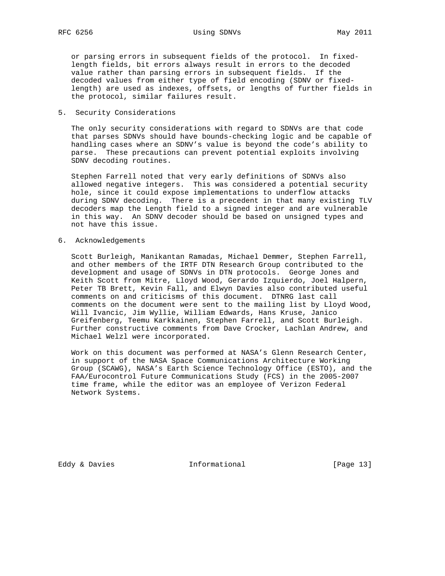RFC 6256 Using SDNVs May 2011

 or parsing errors in subsequent fields of the protocol. In fixed length fields, bit errors always result in errors to the decoded value rather than parsing errors in subsequent fields. If the decoded values from either type of field encoding (SDNV or fixed length) are used as indexes, offsets, or lengths of further fields in the protocol, similar failures result.

5. Security Considerations

 The only security considerations with regard to SDNVs are that code that parses SDNVs should have bounds-checking logic and be capable of handling cases where an SDNV's value is beyond the code's ability to parse. These precautions can prevent potential exploits involving SDNV decoding routines.

 Stephen Farrell noted that very early definitions of SDNVs also allowed negative integers. This was considered a potential security hole, since it could expose implementations to underflow attacks during SDNV decoding. There is a precedent in that many existing TLV decoders map the Length field to a signed integer and are vulnerable in this way. An SDNV decoder should be based on unsigned types and not have this issue.

6. Acknowledgements

 Scott Burleigh, Manikantan Ramadas, Michael Demmer, Stephen Farrell, and other members of the IRTF DTN Research Group contributed to the development and usage of SDNVs in DTN protocols. George Jones and Keith Scott from Mitre, Lloyd Wood, Gerardo Izquierdo, Joel Halpern, Peter TB Brett, Kevin Fall, and Elwyn Davies also contributed useful comments on and criticisms of this document. DTNRG last call comments on the document were sent to the mailing list by Lloyd Wood, Will Ivancic, Jim Wyllie, William Edwards, Hans Kruse, Janico Greifenberg, Teemu Karkkainen, Stephen Farrell, and Scott Burleigh. Further constructive comments from Dave Crocker, Lachlan Andrew, and Michael Welzl were incorporated.

 Work on this document was performed at NASA's Glenn Research Center, in support of the NASA Space Communications Architecture Working Group (SCAWG), NASA's Earth Science Technology Office (ESTO), and the FAA/Eurocontrol Future Communications Study (FCS) in the 2005-2007 time frame, while the editor was an employee of Verizon Federal Network Systems.

Eddy & Davies **Informational** [Page 13]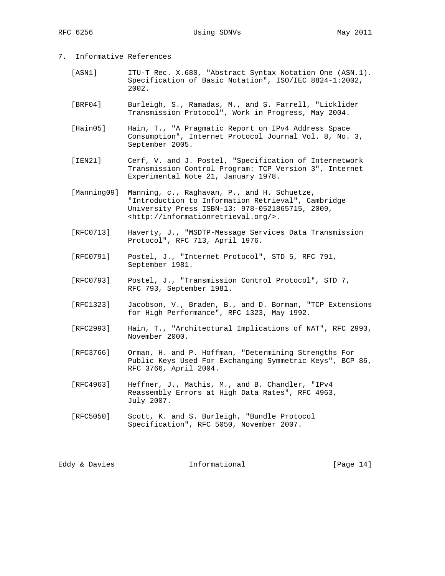- 7. Informative References
	- [ASN1] ITU-T Rec. X.680, "Abstract Syntax Notation One (ASN.1). Specification of Basic Notation", ISO/IEC 8824-1:2002, 2002.
	- [BRF04] Burleigh, S., Ramadas, M., and S. Farrell, "Licklider Transmission Protocol", Work in Progress, May 2004.
	- [Hain05] Hain, T., "A Pragmatic Report on IPv4 Address Space Consumption", Internet Protocol Journal Vol. 8, No. 3, September 2005.
	- [IEN21] Cerf, V. and J. Postel, "Specification of Internetwork Transmission Control Program: TCP Version 3", Internet Experimental Note 21, January 1978.
	- [Manning09] Manning, c., Raghavan, P., and H. Schuetze, "Introduction to Information Retrieval", Cambridge University Press ISBN-13: 978-0521865715, 2009, <http://informationretrieval.org/>.
	- [RFC0713] Haverty, J., "MSDTP-Message Services Data Transmission Protocol", RFC 713, April 1976.
	- [RFC0791] Postel, J., "Internet Protocol", STD 5, RFC 791, September 1981.
	- [RFC0793] Postel, J., "Transmission Control Protocol", STD 7, RFC 793, September 1981.
	- [RFC1323] Jacobson, V., Braden, B., and D. Borman, "TCP Extensions for High Performance", RFC 1323, May 1992.
	- [RFC2993] Hain, T., "Architectural Implications of NAT", RFC 2993, November 2000.
	- [RFC3766] Orman, H. and P. Hoffman, "Determining Strengths For Public Keys Used For Exchanging Symmetric Keys", BCP 86, RFC 3766, April 2004.
	- [RFC4963] Heffner, J., Mathis, M., and B. Chandler, "IPv4 Reassembly Errors at High Data Rates", RFC 4963, July 2007.
	- [RFC5050] Scott, K. and S. Burleigh, "Bundle Protocol Specification", RFC 5050, November 2007.

Eddy & Davies **Informational** [Page 14]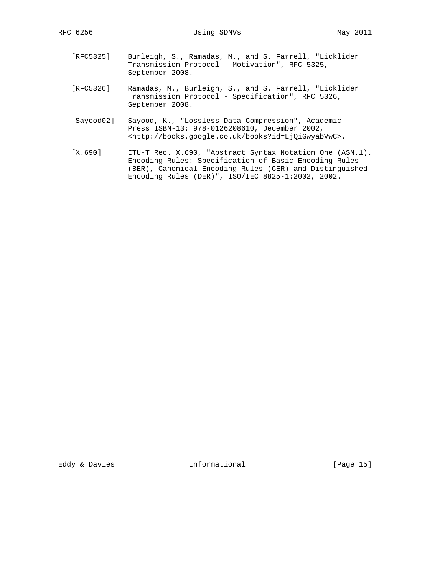- [RFC5325] Burleigh, S., Ramadas, M., and S. Farrell, "Licklider Transmission Protocol - Motivation", RFC 5325, September 2008.
- [RFC5326] Ramadas, M., Burleigh, S., and S. Farrell, "Licklider Transmission Protocol - Specification", RFC 5326, September 2008.
- [Sayood02] Sayood, K., "Lossless Data Compression", Academic Press ISBN-13: 978-0126208610, December 2002, <http://books.google.co.uk/books?id=LjQiGwyabVwC>.
- [X.690] ITU-T Rec. X.690, "Abstract Syntax Notation One (ASN.1). Encoding Rules: Specification of Basic Encoding Rules (BER), Canonical Encoding Rules (CER) and Distinguished Encoding Rules (DER)", ISO/IEC 8825-1:2002, 2002.

Eddy & Davies **Informational** [Page 15]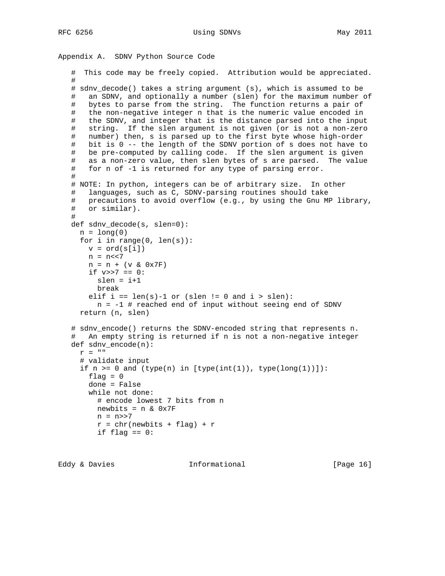RFC 6256 Using SDNVs May 2011

```
Appendix A. SDNV Python Source Code
```

```
 # This code may be freely copied. Attribution would be appreciated.
 #
 # sdnv_decode() takes a string argument (s), which is assumed to be
 # an SDNV, and optionally a number (slen) for the maximum number of
 # bytes to parse from the string. The function returns a pair of
 # the non-negative integer n that is the numeric value encoded in
 # the SDNV, and integer that is the distance parsed into the input
 # string. If the slen argument is not given (or is not a non-zero
 # number) then, s is parsed up to the first byte whose high-order
 # bit is 0 -- the length of the SDNV portion of s does not have to
 # be pre-computed by calling code. If the slen argument is given
 # as a non-zero value, then slen bytes of s are parsed. The value
 # for n of -1 is returned for any type of parsing error.
 #
 # NOTE: In python, integers can be of arbitrary size. In other
 # languages, such as C, SDNV-parsing routines should take
 # precautions to avoid overflow (e.g., by using the Gnu MP library,
 # or similar).
 #
 def sdnv_decode(s, slen=0):
 n = long(0)for i in range(0, len(s)):
   v = ord(s[i])n = n << 7n = n + (v & 0x7F)if v>>7 == 0:
     slen = i+1 break
   elif i == len(s)-1 or (slen != 0 and i > slen):
     n = -1 # reached end of input without seeing end of SDNV
  return (n, slen)
 # sdnv_encode() returns the SDNV-encoded string that represents n.
 # An empty string is returned if n is not a non-negative integer
 def sdnv_encode(n):
 r = ""
   # validate input
  if n \geq 0 and (type(n) in [type(int(1)), type(long(1))]):
   flag = 0 done = False
    while not done:
      # encode lowest 7 bits from n
     newbits = n \& 0x7Fn = n >> 7r = chr(newbits + flag) + r if flag == 0:
```

```
Eddy & Davies Informational [Page 16]
```